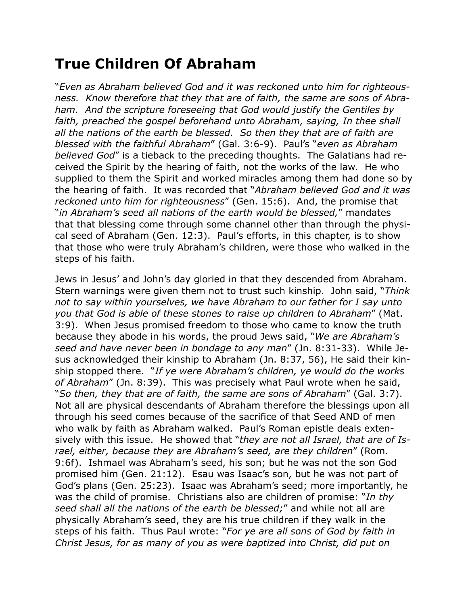## **True Children Of Abraham**

"*Even as Abraham believed God and it was reckoned unto him for righteousness. Know therefore that they that are of faith, the same are sons of Abraham. And the scripture foreseeing that God would justify the Gentiles by*  faith, preached the gospel beforehand unto Abraham, saying, In thee shall *all the nations of the earth be blessed. So then they that are of faith are blessed with the faithful Abraham*" (Gal. 3:6-9). Paul's "*even as Abraham believed God*" is a tieback to the preceding thoughts. The Galatians had received the Spirit by the hearing of faith, not the works of the law. He who supplied to them the Spirit and worked miracles among them had done so by the hearing of faith. It was recorded that "*Abraham believed God and it was reckoned unto him for righteousness*" (Gen. 15:6). And, the promise that "*in Abraham's seed all nations of the earth would be blessed,*" mandates that that blessing come through some channel other than through the physical seed of Abraham (Gen. 12:3). Paul's efforts, in this chapter, is to show that those who were truly Abraham's children, were those who walked in the steps of his faith.

Jews in Jesus' and John's day gloried in that they descended from Abraham. Stern warnings were given them not to trust such kinship. John said, "*Think not to say within yourselves, we have Abraham to our father for I say unto you that God is able of these stones to raise up children to Abraham*" (Mat. 3:9). When Jesus promised freedom to those who came to know the truth because they abode in his words, the proud Jews said, "*We are Abraham's seed and have never been in bondage to any man*" (Jn. 8:31-33). While Jesus acknowledged their kinship to Abraham (Jn. 8:37, 56), He said their kinship stopped there. "*If ye were Abraham's children, ye would do the works of Abraham*" (Jn. 8:39). This was precisely what Paul wrote when he said, "*So then, they that are of faith, the same are sons of Abraham*" (Gal. 3:7). Not all are physical descendants of Abraham therefore the blessings upon all through his seed comes because of the sacrifice of that Seed AND of men who walk by faith as Abraham walked. Paul's Roman epistle deals extensively with this issue. He showed that "*they are not all Israel, that are of Israel, either, because they are Abraham's seed, are they children*" (Rom. 9:6f). Ishmael was Abraham's seed, his son; but he was not the son God promised him (Gen. 21:12). Esau was Isaac's son, but he was not part of God's plans (Gen. 25:23). Isaac was Abraham's seed; more importantly, he was the child of promise. Christians also are children of promise: "*In thy seed shall all the nations of the earth be blessed;*" and while not all are physically Abraham's seed, they are his true children if they walk in the steps of his faith. Thus Paul wrote: "*For ye are all sons of God by faith in Christ Jesus, for as many of you as were baptized into Christ, did put on*